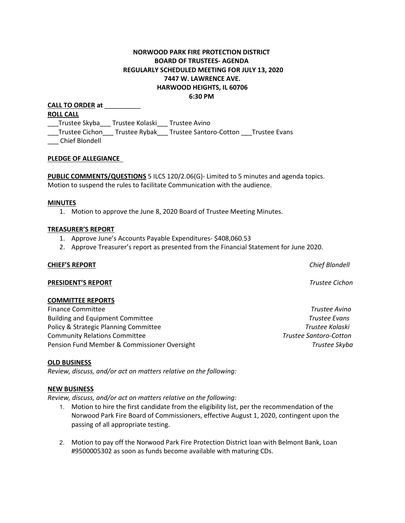# **NORWOOD PARK FIRE PROTECTION DISTRICT BOARD OF TRUSTEES- AGENDA REGULARLY SCHEDULED MEETING FOR JULY 13, 2020 7447 W. LAWRENCE AVE. HARWOOD HEIGHTS, IL 60706 6:30 PM**

**CALL TO ORDER at** \_\_\_\_\_\_\_\_\_\_ **ROLL CALL** \_\_\_Trustee Skyba\_\_\_ Trustee Kolaski\_\_\_ Trustee Avino \_\_\_Trustee Cichon\_\_\_ Trustee Rybak\_\_\_ Trustee Santoro-Cotton \_\_\_Trustee Evans \_\_\_ Chief Blondell

# **PLEDGE OF ALLEGIANCE**

**PUBLIC COMMENTS/QUESTIONS** 5 ILCS 120/2.06(G)- Limited to 5 minutes and agenda topics. Motion to suspend the rules to facilitate Communication with the audience.

#### **MINUTES**

1. Motion to approve the June 8, 2020 Board of Trustee Meeting Minutes.

#### **TREASURER'S REPORT**

- 1. Approve June's Accounts Payable Expenditures- \$408,060.53
- 2. Approve Treasurer's report as presented from the Financial Statement for June 2020.

#### **CHIEF'S REPORT** *Chief Blondell*

### **PRESIDENT'S REPORT** *Trustee Cichon*

#### **COMMITTEE REPORTS**

Finance Committee *Trustee Avino* Building and Equipment Committee *Trustee Evans* Policy & Strategic Planning Committee *Trustee Kolaski* Community Relations Committee *Trustee Santoro-Cotton*  Pension Fund Member & Commissioner Oversight *Trustee Skyba*

#### **OLD BUSINESS**

*Review, discuss, and/or act on matters relative on the following:*

#### **NEW BUSINESS**

*Review, discuss, and/or act on matters relative on the following:*

- 1. Motion to hire the first candidate from the eligibility list, per the recommendation of the Norwood Park Fire Board of Commissioners, effective August 1, 2020, contingent upon the passing of all appropriate testing.
- 2. Motion to pay off the Norwood Park Fire Protection District loan with Belmont Bank, Loan #9500005302 as soon as funds become available with maturing CDs.